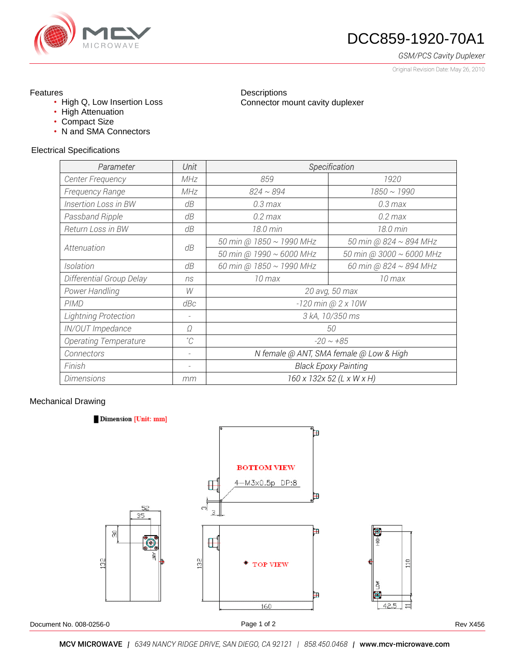

# DCC859-1920-70A1

*GSM/PCS Cavity Duplexer*

Original Revision Date: May 26, 2010

## Features

- High Q, Low Insertion Loss
- High Attenuation
- Compact Size
- N and SMA Connectors

### Electrical Specifications

| Parameter                    | Unit                     | Specification                           |                             |
|------------------------------|--------------------------|-----------------------------------------|-----------------------------|
| <b>Center Frequency</b>      | MHz                      | 859                                     | 1920                        |
| <b>Frequency Range</b>       | MHz                      | $824 \sim 894$                          | $1850 \sim 1990$            |
| <b>Insertion Loss in BW</b>  | dB                       | $0.3 \, \text{max}$                     | $0.3 \text{ max}$           |
| Passband Ripple              | dB                       | $0.2$ max                               | $0.2$ max                   |
| Return Loss in BW            | dB                       | 18.0 min                                | 18.0 min                    |
| Attenuation                  | dB                       | 50 min @ 1850 ~ 1990 MHz                | 50 min @ $824 \sim 894$ MHz |
|                              |                          | 50 min @ 1990 ~ 6000 MHz                | 50 min @ 3000 ~ 6000 MHz    |
| Isolation                    | dB                       | 60 min @ 1850 ~ 1990 MHz                | 60 min @ 824 $\sim$ 894 MHz |
| Differential Group Delay     | ns                       | 10 max                                  | 10 max                      |
| Power Handling               | W                        | 20 avg, 50 max                          |                             |
| PIMD                         | dBc                      | $-120$ min @ 2 x 10W                    |                             |
| <b>Lightning Protection</b>  | -                        | 3 kA, 10/350 ms                         |                             |
| IN/OUT Impedance             | Ω                        | 50                                      |                             |
| <b>Operating Temperature</b> | $^{\circ}C$              | $-20 \sim +85$                          |                             |
| Connectors                   | $\overline{\phantom{a}}$ | N female @ ANT, SMA female @ Low & High |                             |
| Finish                       | $\overline{\phantom{a}}$ | <b>Black Epoxy Painting</b>             |                             |
| <b>Dimensions</b>            | mm                       | 160 x 132x 52 (L x W x H)               |                             |

**Descriptions** 

Connector mount cavity duplexer

### Mechanical Drawing

#### Dimension [Unit: mm]